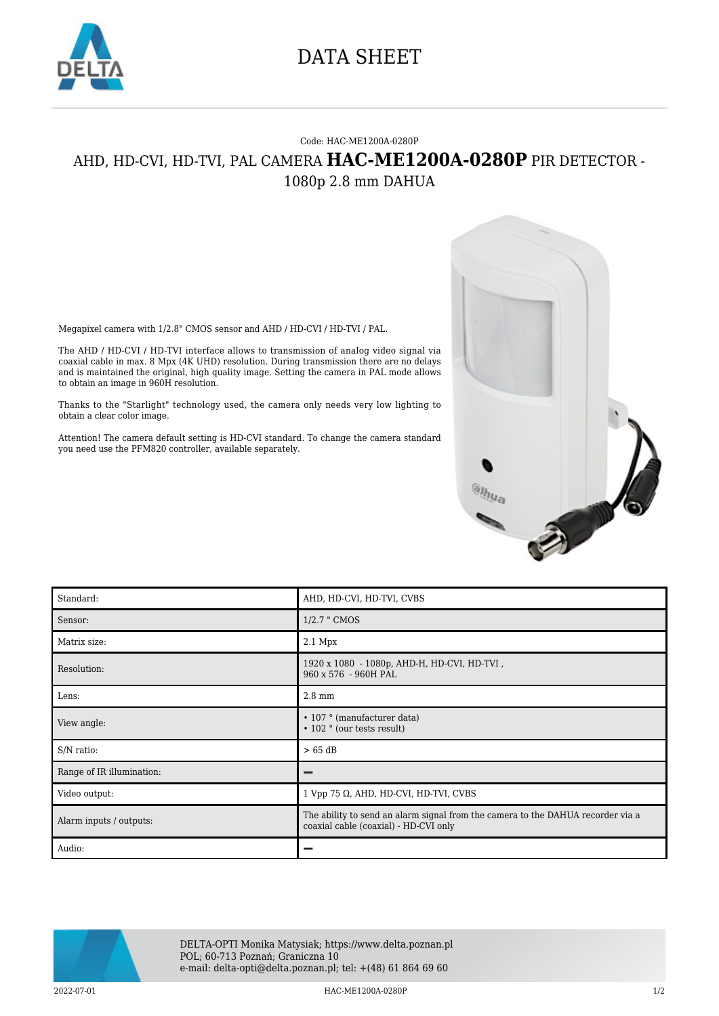

## DATA SHEET

## Code: HAC-ME1200A-0280P AHD, HD-CVI, HD-TVI, PAL CAMERA **HAC-ME1200A-0280P** PIR DETECTOR - 1080p 2.8 mm DAHUA

Megapixel camera with 1/2.8" CMOS sensor and AHD / HD-CVI / HD-TVI / PAL.

The AHD / HD-CVI / HD-TVI interface allows to transmission of analog video signal via coaxial cable in max. 8 Mpx (4K UHD) resolution. During transmission there are no delays and is maintained the original, high quality image. Setting the camera in PAL mode allows to obtain an image in 960H resolution.

Thanks to the "Starlight" technology used, the camera only needs very low lighting to obtain a clear color image.

Attention! The camera default setting is HD-CVI standard. To change the camera standard you need use the PFM820 controller, available separately.



| Standard:                 | AHD, HD-CVI, HD-TVI, CVBS                                                                                                |
|---------------------------|--------------------------------------------------------------------------------------------------------------------------|
| Sensor:                   | 1/2.7 " CMOS                                                                                                             |
| Matrix size:              | $2.1$ Mpx                                                                                                                |
| Resolution:               | 1920 x 1080 - 1080p, AHD-H, HD-CVI, HD-TVI,<br>960 x 576 - 960H PAL                                                      |
| Lens:                     | $2.8 \text{ mm}$                                                                                                         |
| View angle:               | • 107 ° (manufacturer data)<br>$\cdot$ 102 $\circ$ (our tests result)                                                    |
| S/N ratio:                | > 65 dB                                                                                                                  |
| Range of IR illumination: |                                                                                                                          |
| Video output:             | $1$ Vpp 75 $\Omega$ , AHD, HD-CVI, HD-TVI, CVBS                                                                          |
| Alarm inputs / outputs:   | The ability to send an alarm signal from the camera to the DAHUA recorder via a<br>coaxial cable (coaxial) - HD-CVI only |
| Audio:                    |                                                                                                                          |



DELTA-OPTI Monika Matysiak; https://www.delta.poznan.pl POL; 60-713 Poznań; Graniczna 10 e-mail: delta-opti@delta.poznan.pl; tel: +(48) 61 864 69 60

2022-07-01 HAC-ME1200A-0280P 1/2